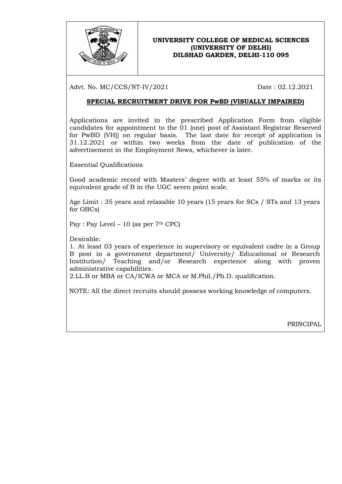

#### UNIVERSITY COLLEGE OF MEDICAL SCIENCES (UNIVERSITY OF DELHI) DILSHAD GARDEN, DELHI-110 095

Advt. No. MC/CCS/NT-IV/2021 Date : 02.12.2021

### SPECIAL RECRUITMENT DRIVE FOR PwBD (VISUALLY IMPAIRED)

Applications are invited in the prescribed Application Form from eligible candidates for appointment to the 01 (one) post of Assistant Registrar Reserved for PwBD (VH)] on regular basis. The last date for receipt of application is 31.12.2021 or within two weeks from the date of publication of the advertisement in the Employment News, whichever is later.

Essential Qualifications

Good academic record with Masters' degree with at least 55% of marks or its equivalent grade of B in the UGC seven point scale.

Age Limit : 35 years and relaxable 10 years (15 years for SCs / STs and 13 years for OBCs)

Pay : Pay Level – 10 (as per  $7<sup>th</sup>$  CPC)

Desirable:

1. At least 03 years of experience in supervisory or equivalent cadre in a Group B post in a government department/ University/ Educational or Research Institution/ Teaching and/or Research experience along with proven administrative capabilities.

2.LL.B or MBA or CA/ICWA or MCA or M.Phil./Ph.D. qualification.

NOTE: All the direct recruits should possess working knowledge of computers.

PRINCIPAL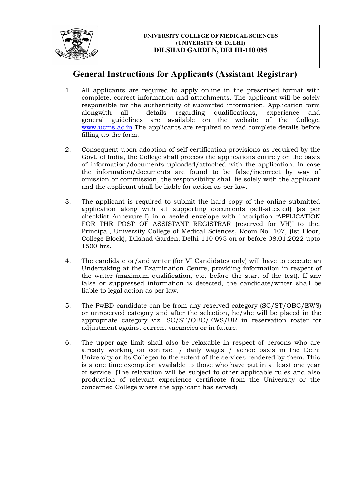

#### UNIVERSITY COLLEGE OF MEDICAL SCIENCES (UNIVERSITY OF DELHI) DILSHAD GARDEN, DELHI-110 095

# General Instructions for Applicants (Assistant Registrar)

- 1. All applicants are required to apply online in the prescribed format with complete, correct information and attachments. The applicant will be solely responsible for the authenticity of submitted information. Application form alongwith all details regarding qualifications, experience and general guidelines are available on the website of the College, www.ucms.ac.in The applicants are required to read complete details before filling up the form.
- 2. Consequent upon adoption of self-certification provisions as required by the Govt. of India, the College shall process the applications entirely on the basis of information/documents uploaded/attached with the application. In case the information/documents are found to be false/incorrect by way of omission or commission, the responsibility shall lie solely with the applicant and the applicant shall be liable for action as per law.
- 3. The applicant is required to submit the hard copy of the online submitted application along with all supporting documents (self-attested) (as per checklist Annexure-I) in a sealed envelope with inscription 'APPLICATION FOR THE POST OF ASSISTANT REGISTRAR (reserved for VH)' to the, Principal, University College of Medical Sciences, Room No. 107, (Ist Floor, College Block), Dilshad Garden, Delhi-110 095 on or before 08.01.2022 upto 1500 hrs.
- 4. The candidate or/and writer (for VI Candidates only) will have to execute an Undertaking at the Examination Centre, providing information in respect of the writer (maximum qualification, etc. before the start of the test). If any false or suppressed information is detected, the candidate/writer shall be liable to legal action as per law.
- 5. The PwBD candidate can be from any reserved category (SC/ST/OBC/EWS) or unreserved category and after the selection, he/she will be placed in the appropriate category viz. SC/ST/OBC/EWS/UR in reservation roster for adjustment against current vacancies or in future.
- 6. The upper-age limit shall also be relaxable in respect of persons who are already working on contract / daily wages / adhoc basis in the Delhi University or its Colleges to the extent of the services rendered by them. This is a one time exemption available to those who have put in at least one year of service. (The relaxation will be subject to other applicable rules and also production of relevant experience certificate from the University or the concerned College where the applicant has served)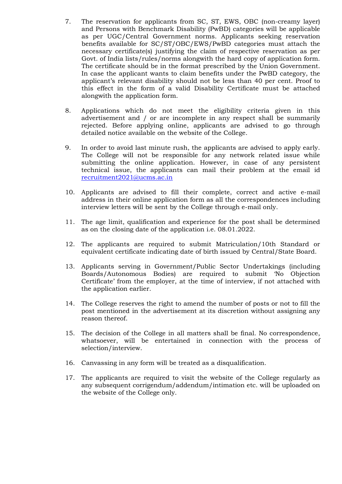- 7. The reservation for applicants from SC, ST, EWS, OBC (non-creamy layer) and Persons with Benchmark Disability (PwBD) categories will be applicable as per UGC/Central Government norms. Applicants seeking reservation benefits available for SC/ST/OBC/EWS/PwBD categories must attach the necessary certificate(s) justifying the claim of respective reservation as per Govt. of India lists/rules/norms alongwith the hard copy of application form. The certificate should be in the format prescribed by the Union Government. In case the applicant wants to claim benefits under the PwBD category, the applicant's relevant disability should not be less than 40 per cent. Proof to this effect in the form of a valid Disability Certificate must be attached alongwith the application form.
- 8. Applications which do not meet the eligibility criteria given in this advertisement and / or are incomplete in any respect shall be summarily rejected. Before applying online, applicants are advised to go through detailed notice available on the website of the College.
- 9. In order to avoid last minute rush, the applicants are advised to apply early. The College will not be responsible for any network related issue while submitting the online application. However, in case of any persistent technical issue, the applicants can mail their problem at the email id recruitment2021@ucms.ac.in
- 10. Applicants are advised to fill their complete, correct and active e-mail address in their online application form as all the correspondences including interview letters will be sent by the College through e-mail only.
- 11. The age limit, qualification and experience for the post shall be determined as on the closing date of the application i.e. 08.01.2022.
- 12. The applicants are required to submit Matriculation/10th Standard or equivalent certificate indicating date of birth issued by Central/State Board.
- 13. Applicants serving in Government/Public Sector Undertakings (including Boards/Autonomous Bodies) are required to submit 'No Objection Certificate' from the employer, at the time of interview, if not attached with the application earlier.
- 14. The College reserves the right to amend the number of posts or not to fill the post mentioned in the advertisement at its discretion without assigning any reason thereof.
- 15. The decision of the College in all matters shall be final. No correspondence, whatsoever, will be entertained in connection with the process of selection/interview.
- 16. Canvassing in any form will be treated as a disqualification.
- 17. The applicants are required to visit the website of the College regularly as any subsequent corrigendum/addendum/intimation etc. will be uploaded on the website of the College only.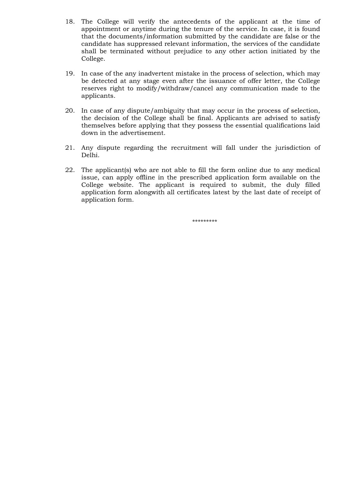- 18. The College will verify the antecedents of the applicant at the time of appointment or anytime during the tenure of the service. In case, it is found that the documents/information submitted by the candidate are false or the candidate has suppressed relevant information, the services of the candidate shall be terminated without prejudice to any other action initiated by the College.
- 19. In case of the any inadvertent mistake in the process of selection, which may be detected at any stage even after the issuance of offer letter, the College reserves right to modify/withdraw/cancel any communication made to the applicants.
- 20. In case of any dispute/ambiguity that may occur in the process of selection, the decision of the College shall be final. Applicants are advised to satisfy themselves before applying that they possess the essential qualifications laid down in the advertisement.
- 21. Any dispute regarding the recruitment will fall under the jurisdiction of Delhi.
- 22. The applicant(s) who are not able to fill the form online due to any medical issue, can apply offline in the prescribed application form available on the College website. The applicant is required to submit, the duly filled application form alongwith all certificates latest by the last date of receipt of application form.

\*\*\*\*\*\*\*\*\*